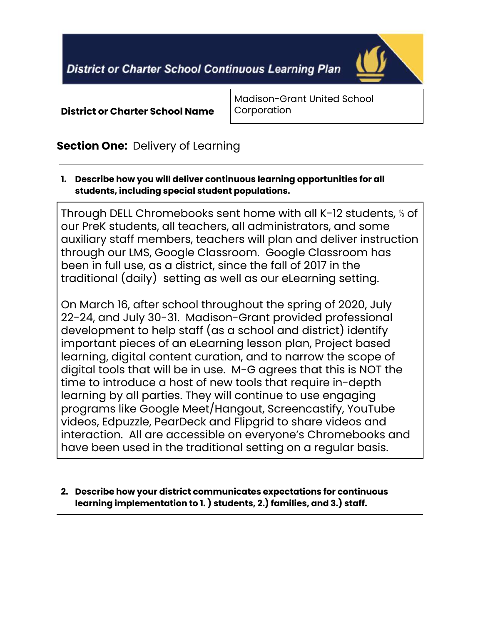**District or Charter School Continuous Learning Plan** 



**District or Charter School Name**

Madison-Grant United School **Corporation** 

# **Section One:** Delivery of Learning

**1. Describe how you will deliver continuous learning opportunities for all students, including special student populations.**

Through DELL Chromebooks sent home with all K-12 students, ⅓ of our PreK students, all teachers, all administrators, and some auxiliary staff members, teachers will plan and deliver instruction through our LMS, Google Classroom. Google Classroom has been in full use, as a district, since the fall of 2017 in the traditional (daily) setting as well as our eLearning setting.

On March 16, after school throughout the spring of 2020, July 22-24, and July 30-31. Madison-Grant provided professional development to help staff (as a school and district) identify important pieces of an eLearning lesson plan, Project based learning, digital content curation, and to narrow the scope of digital tools that will be in use. M-G agrees that this is NOT the time to introduce a host of new tools that require in-depth learning by all parties. They will continue to use engaging programs like Google Meet/Hangout, Screencastify, YouTube videos, Edpuzzle, PearDeck and Flipgrid to share videos and interaction. All are accessible on everyone's Chromebooks and have been used in the traditional setting on a regular basis.

**2. Describe how your district communicates expectations for continuous learning implementation to 1. ) students, 2.) families, and 3.) staff.**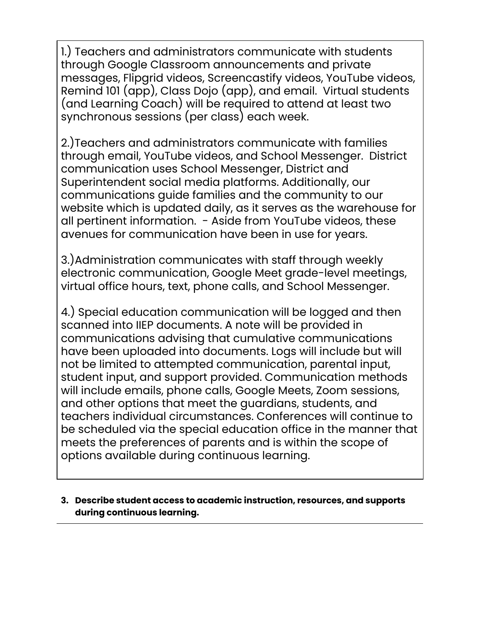1.) Teachers and administrators communicate with students through Google Classroom announcements and private messages, Flipgrid videos, Screencastify videos, YouTube videos, Remind 101 (app), Class Dojo (app), and email. Virtual students (and Learning Coach) will be required to attend at least two synchronous sessions (per class) each week.

2.)Teachers and administrators communicate with families through email, YouTube videos, and School Messenger. District communication uses School Messenger, District and Superintendent social media platforms. Additionally, our communications guide families and the community to our website which is updated daily, as it serves as the warehouse for all pertinent information. - Aside from YouTube videos, these avenues for communication have been in use for years.

3.)Administration communicates with staff through weekly electronic communication, Google Meet grade-level meetings, virtual office hours, text, phone calls, and School Messenger.

4.) Special education communication will be logged and then scanned into IIEP documents. A note will be provided in communications advising that cumulative communications have been uploaded into documents. Logs will include but will not be limited to attempted communication, parental input, student input, and support provided. Communication methods will include emails, phone calls, Google Meets, Zoom sessions, and other options that meet the guardians, students, and teachers individual circumstances. Conferences will continue to be scheduled via the special education office in the manner that meets the preferences of parents and is within the scope of options available during continuous learning.

**3. Describe student access to academic instruction, resources, and supports during continuous learning.**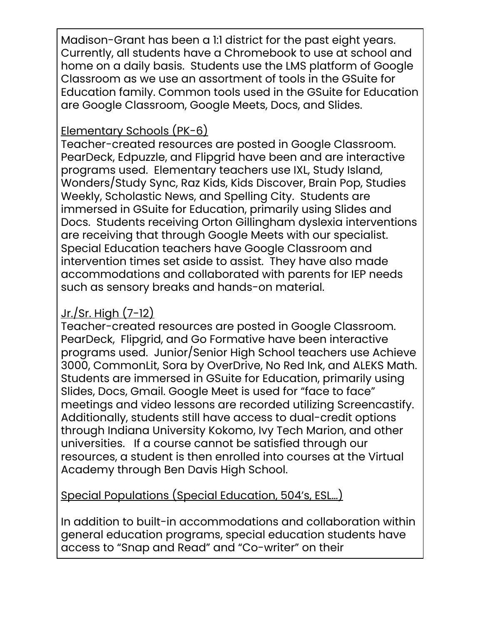Madison-Grant has been a 1:1 district for the past eight years. Currently, all students have a Chromebook to use at school and home on a daily basis. Students use the LMS platform of Google Classroom as we use an assortment of tools in the GSuite for Education family. Common tools used in the GSuite for Education are Google Classroom, Google Meets, Docs, and Slides.

# Elementary Schools (PK-6)

Teacher-created resources are posted in Google Classroom. PearDeck, Edpuzzle, and Flipgrid have been and are interactive programs used. Elementary teachers use IXL, Study Island, Wonders/Study Sync, Raz Kids, Kids Discover, Brain Pop, Studies Weekly, Scholastic News, and Spelling City. Students are immersed in GSuite for Education, primarily using Slides and Docs. Students receiving Orton Gillingham dyslexia interventions are receiving that through Google Meets with our specialist. Special Education teachers have Google Classroom and intervention times set aside to assist. They have also made accommodations and collaborated with parents for IEP needs such as sensory breaks and hands-on material.

# Jr./Sr. High (7-12)

Teacher-created resources are posted in Google Classroom. PearDeck, Flipgrid, and Go Formative have been interactive programs used. Junior/Senior High School teachers use Achieve 3000, CommonLit, Sora by OverDrive, No Red Ink, and ALEKS Math. Students are immersed in GSuite for Education, primarily using Slides, Docs, Gmail. Google Meet is used for "face to face" meetings and video lessons are recorded utilizing Screencastify. Additionally, students still have access to dual-credit options through Indiana University Kokomo, Ivy Tech Marion, and other universities. If a course cannot be satisfied through our resources, a student is then enrolled into courses at the Virtual Academy through Ben Davis High School.

Special Populations (Special Education, 504's, ESL…)

In addition to built-in accommodations and collaboration within general education programs, special education students have access to "Snap and Read" and "Co-writer" on their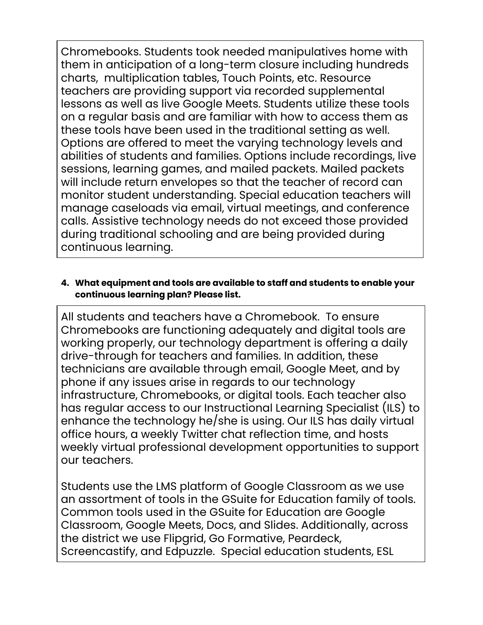Chromebooks. Students took needed manipulatives home with them in anticipation of a long-term closure including hundreds charts, multiplication tables, Touch Points, etc. Resource teachers are providing support via recorded supplemental lessons as well as live Google Meets. Students utilize these tools on a regular basis and are familiar with how to access them as these tools have been used in the traditional setting as well. Options are offered to meet the varying technology levels and abilities of students and families. Options include recordings, live sessions, learning games, and mailed packets. Mailed packets will include return envelopes so that the teacher of record can monitor student understanding. Special education teachers will manage caseloads via email, virtual meetings, and conference calls. Assistive technology needs do not exceed those provided during traditional schooling and are being provided during continuous learning.

### **4. What equipment and tools are available to staff and students to enable your continuous learning plan? Please list.**

All students and teachers have a Chromebook. To ensure Chromebooks are functioning adequately and digital tools are working properly, our technology department is offering a daily drive-through for teachers and families. In addition, these technicians are available through email, Google Meet, and by phone if any issues arise in regards to our technology infrastructure, Chromebooks, or digital tools. Each teacher also has regular access to our Instructional Learning Specialist (ILS) to enhance the technology he/she is using. Our ILS has daily virtual office hours, a weekly Twitter chat reflection time, and hosts weekly virtual professional development opportunities to support our teachers.

Students use the LMS platform of Google Classroom as we use an assortment of tools in the GSuite for Education family of tools. Common tools used in the GSuite for Education are Google Classroom, Google Meets, Docs, and Slides. Additionally, across the district we use Flipgrid, Go Formative, Peardeck, Screencastify, and Edpuzzle. Special education students, ESL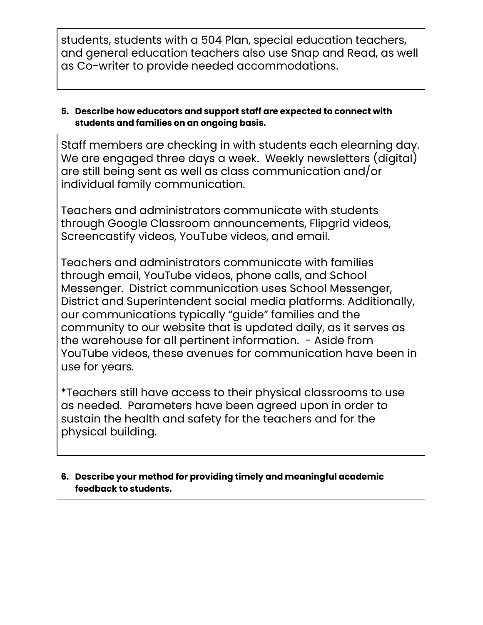students, students with a 504 Plan, special education teachers, and general education teachers also use Snap and Read, as well as Co-writer to provide needed accommodations.

### **5. Describe how educators and support staff are expected to connect with students and families on an ongoing basis.**

Staff members are checking in with students each elearning day. We are engaged three days a week. Weekly newsletters (digital) are still being sent as well as class communication and/or individual family communication.

Teachers and administrators communicate with students through Google Classroom announcements, Flipgrid videos, Screencastify videos, YouTube videos, and email.

Teachers and administrators communicate with families through email, YouTube videos, phone calls, and School Messenger. District communication uses School Messenger, District and Superintendent social media platforms. Additionally, our communications typically "guide" families and the community to our website that is updated daily, as it serves as the warehouse for all pertinent information. - Aside from YouTube videos, these avenues for communication have been in use for years.

\*Teachers still have access to their physical classrooms to use as needed. Parameters have been agreed upon in order to sustain the health and safety for the teachers and for the physical building.

### **6. Describe your method for providing timely and meaningful academic feedback to students.**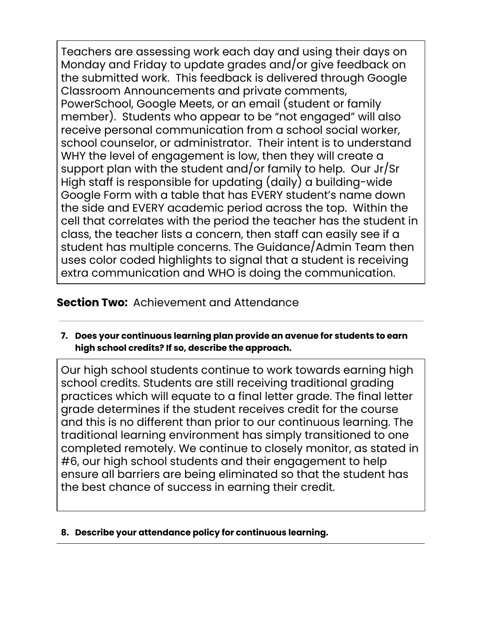Teachers are assessing work each day and using their days on Monday and Friday to update grades and/or give feedback on the submitted work. This feedback is delivered through Google Classroom Announcements and private comments, PowerSchool, Google Meets, or an email (student or family member). Students who appear to be "not engaged" will also receive personal communication from a school social worker, school counselor, or administrator. Their intent is to understand WHY the level of engagement is low, then they will create a support plan with the student and/or family to help. Our Jr/Sr High staff is responsible for updating (daily) a building-wide Google Form with a table that has EVERY student's name down the side and EVERY academic period across the top. Within the cell that correlates with the period the teacher has the student in class, the teacher lists a concern, then staff can easily see if a student has multiple concerns. The Guidance/Admin Team then uses color coded highlights to signal that a student is receiving extra communication and WHO is doing the communication.

# **Section Two:** Achievement and Attendance

**7. Does your continuous learning plan provide an avenue for students to earn high school credits? If so, describe the approach.**

Our high school students continue to work towards earning high school credits. Students are still receiving traditional grading practices which will equate to a final letter grade. The final letter grade determines if the student receives credit for the course and this is no different than prior to our continuous learning. The traditional learning environment has simply transitioned to one completed remotely. We continue to closely monitor, as stated in #6, our high school students and their engagement to help ensure all barriers are being eliminated so that the student has the best chance of success in earning their credit.

#### **8. Describe your attendance policy for continuous learning.**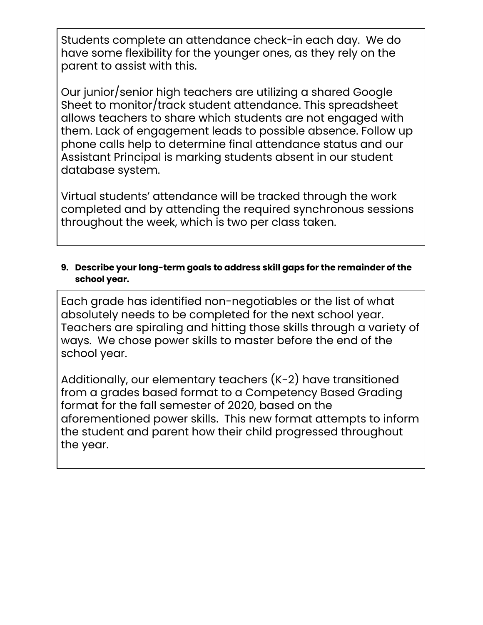Students complete an attendance check-in each day. We do have some flexibility for the younger ones, as they rely on the parent to assist with this.

Our junior/senior high teachers are utilizing a shared Google Sheet to monitor/track student attendance. This spreadsheet allows teachers to share which students are not engaged with them. Lack of engagement leads to possible absence. Follow up phone calls help to determine final attendance status and our Assistant Principal is marking students absent in our student database system.

Virtual students' attendance will be tracked through the work completed and by attending the required synchronous sessions throughout the week, which is two per class taken.

### **9. Describe your long-term goals to address skill gaps for the remainder of the school year.**

Each grade has identified non-negotiables or the list of what absolutely needs to be completed for the next school year. Teachers are spiraling and hitting those skills through a variety of ways. We chose power skills to master before the end of the school year.

Additionally, our elementary teachers (K-2) have transitioned from a grades based format to a Competency Based Grading format for the fall semester of 2020, based on the aforementioned power skills. This new format attempts to inform the student and parent how their child progressed throughout the year.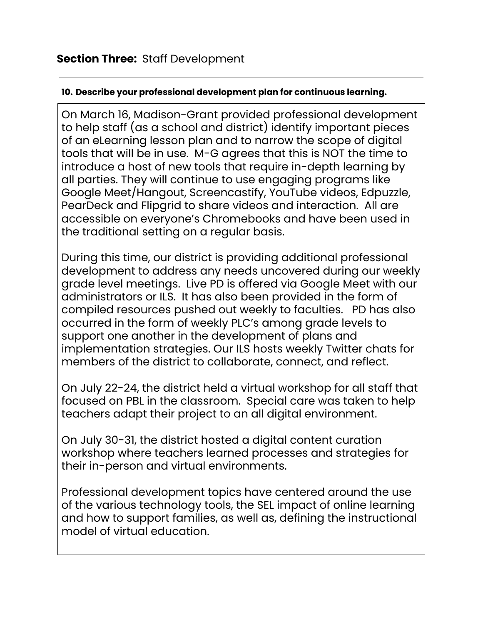## **10. Describe your professional development plan for continuous learning.**

On March 16, Madison-Grant provided professional development to help staff (as a school and district) identify important pieces of an eLearning lesson plan and to narrow the scope of digital tools that will be in use. M-G agrees that this is NOT the time to introduce a host of new tools that require in-depth learning by all parties. They will continue to use engaging programs like Google Meet/Hangout, Screencastify, YouTube videos, Edpuzzle, PearDeck and Flipgrid to share videos and interaction. All are accessible on everyone's Chromebooks and have been used in the traditional setting on a regular basis.

During this time, our district is providing additional professional development to address any needs uncovered during our weekly grade level meetings. Live PD is offered via Google Meet with our administrators or ILS. It has also been provided in the form of compiled resources pushed out weekly to faculties. PD has also occurred in the form of weekly PLC's among grade levels to support one another in the development of plans and implementation strategies. Our ILS hosts weekly Twitter chats for members of the district to collaborate, connect, and reflect.

On July 22-24, the district held a virtual workshop for all staff that focused on PBL in the classroom. Special care was taken to help teachers adapt their project to an all digital environment.

On July 30-31, the district hosted a digital content curation workshop where teachers learned processes and strategies for their in-person and virtual environments.

Professional development topics have centered around the use of the various technology tools, the SEL impact of online learning and how to support families, as well as, defining the instructional model of virtual education.